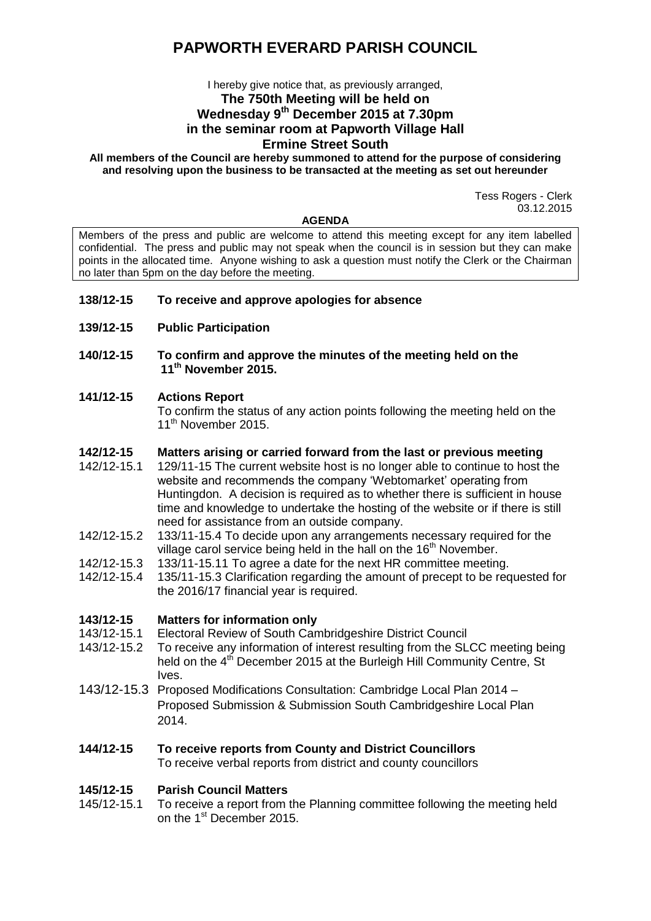# **PAPWORTH EVERARD PARISH COUNCIL**

## I hereby give notice that, as previously arranged, **The 750th Meeting will be held on Wednesday 9 th December 2015 at 7.30pm in the seminar room at Papworth Village Hall Ermine Street South**

**All members of the Council are hereby summoned to attend for the purpose of considering and resolving upon the business to be transacted at the meeting as set out hereunder**

> Tess Rogers - Clerk 03.12.2015

#### **AGENDA**

Members of the press and public are welcome to attend this meeting except for any item labelled confidential. The press and public may not speak when the council is in session but they can make points in the allocated time. Anyone wishing to ask a question must notify the Clerk or the Chairman no later than 5pm on the day before the meeting.

### **138/12-15 To receive and approve apologies for absence**

- **139/12-15 Public Participation**
- **140/12-15 To confirm and approve the minutes of the meeting held on the 11th November 2015.**

### **141/12-15 Actions Report**

To confirm the status of any action points following the meeting held on the 11<sup>th</sup> November 2015.

### **142/12-15 Matters arising or carried forward from the last or previous meeting**

- 142/12-15.1 129/11-15 The current website host is no longer able to continue to host the website and recommends the company 'Webtomarket' operating from Huntingdon. A decision is required as to whether there is sufficient in house time and knowledge to undertake the hosting of the website or if there is still need for assistance from an outside company.
- 142/12-15.2 133/11-15.4 To decide upon any arrangements necessary required for the village carol service being held in the hall on the  $16<sup>th</sup>$  November.
- 142/12-15.3 133/11-15.11 To agree a date for the next HR committee meeting.
- 142/12-15.4 135/11-15.3 Clarification regarding the amount of precept to be requested for the 2016/17 financial year is required.

### **143/12-15 Matters for information only**

- 143/12-15.1 Electoral Review of South Cambridgeshire District Council
- 143/12-15.2 To receive any information of interest resulting from the SLCC meeting being held on the 4<sup>th</sup> December 2015 at the Burleigh Hill Community Centre, St Ives.
- 143/12-15.3 Proposed Modifications Consultation: Cambridge Local Plan 2014 Proposed Submission & Submission South Cambridgeshire Local Plan 2014.

#### **144/12-15 To receive reports from County and District Councillors** To receive verbal reports from district and county councillors

### **145/12-15 Parish Council Matters**

145/12-15.1 To receive a report from the Planning committee following the meeting held on the 1<sup>st</sup> December 2015.